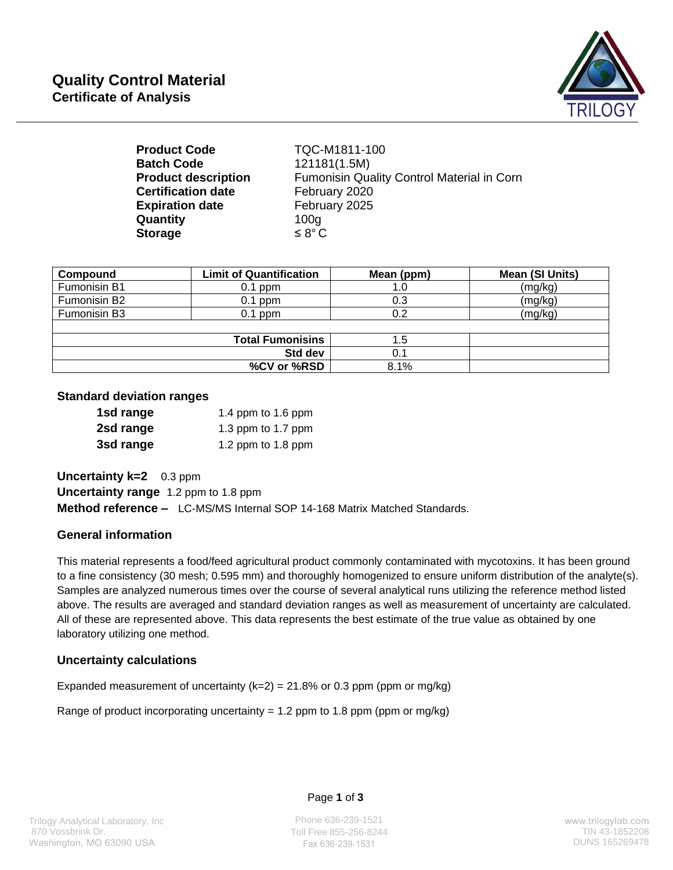

| TQC-M1811-100                              |
|--------------------------------------------|
| 121181(1.5M)                               |
| Fumonisin Quality Control Material in Corn |
| February 2020                              |
| February 2025                              |
| 100 <sub>g</sub>                           |
| $\leq 8^{\circ}$ C                         |
|                                            |

| Compound     | <b>Limit of Quantification</b> | Mean (ppm) | Mean (SI Units) |
|--------------|--------------------------------|------------|-----------------|
| Fumonisin B1 | $0.1$ ppm                      | 1.0        | (mg/kg)         |
| Fumonisin B2 | $0.1$ ppm                      | 0.3        | (mg/kg)         |
| Fumonisin B3 | $0.1$ ppm                      | 0.2        | (mg/kg)         |
|              |                                |            |                 |
|              | <b>Total Fumonisins</b>        | 1.5        |                 |
| Std dev      |                                | 0.1        |                 |
|              | %CV or %RSD                    | 8.1%       |                 |

#### **Standard deviation ranges**

| 1sd range | 1.4 ppm to 1.6 ppm |
|-----------|--------------------|
| 2sd range | 1.3 ppm to 1.7 ppm |
| 3sd range | 1.2 ppm to 1.8 ppm |

**Uncertainty k=2** 0.3 ppm **Uncertainty range** 1.2 ppm to 1.8 ppm **Method reference –** LC-MS/MS Internal SOP 14-168 Matrix Matched Standards.

## **General information**

This material represents a food/feed agricultural product commonly contaminated with mycotoxins. It has been ground to a fine consistency (30 mesh; 0.595 mm) and thoroughly homogenized to ensure uniform distribution of the analyte(s). Samples are analyzed numerous times over the course of several analytical runs utilizing the reference method listed above. The results are averaged and standard deviation ranges as well as measurement of uncertainty are calculated. All of these are represented above. This data represents the best estimate of the true value as obtained by one laboratory utilizing one method.

## **Uncertainty calculations**

Expanded measurement of uncertainty  $(k=2) = 21.8\%$  or 0.3 ppm (ppm or mg/kg)

Range of product incorporating uncertainty = 1.2 ppm to 1.8 ppm (ppm or mg/kg)

#### Page **1** of **3**

Phone 636-239-1521 Toll Free 855-256-8244 TlN 43-1852208 Fax 636-239-1531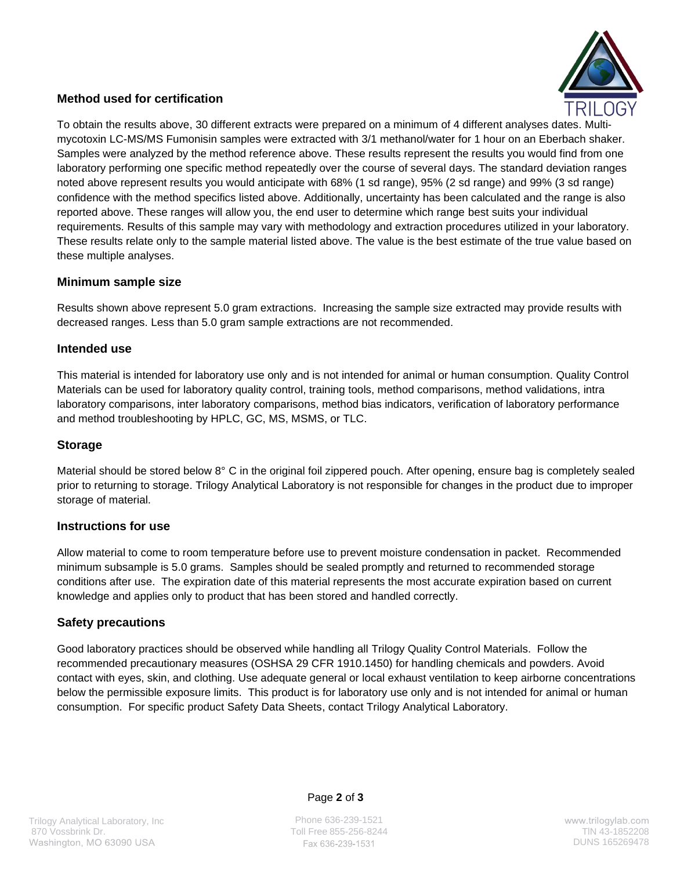

## **Method used for certification**

To obtain the results above, 30 different extracts were prepared on a minimum of 4 different analyses dates. Multimycotoxin LC-MS/MS Fumonisin samples were extracted with 3/1 methanol/water for 1 hour on an Eberbach shaker. Samples were analyzed by the method reference above. These results represent the results you would find from one laboratory performing one specific method repeatedly over the course of several days. The standard deviation ranges noted above represent results you would anticipate with 68% (1 sd range), 95% (2 sd range) and 99% (3 sd range) confidence with the method specifics listed above. Additionally, uncertainty has been calculated and the range is also reported above. These ranges will allow you, the end user to determine which range best suits your individual requirements. Results of this sample may vary with methodology and extraction procedures utilized in your laboratory. These results relate only to the sample material listed above. The value is the best estimate of the true value based on these multiple analyses.

#### **Minimum sample size**

Results shown above represent 5.0 gram extractions. Increasing the sample size extracted may provide results with decreased ranges. Less than 5.0 gram sample extractions are not recommended.

#### **Intended use**

This material is intended for laboratory use only and is not intended for animal or human consumption. Quality Control Materials can be used for laboratory quality control, training tools, method comparisons, method validations, intra laboratory comparisons, inter laboratory comparisons, method bias indicators, verification of laboratory performance and method troubleshooting by HPLC, GC, MS, MSMS, or TLC.

#### **Storage**

Material should be stored below 8° C in the original foil zippered pouch. After opening, ensure bag is completely sealed prior to returning to storage. Trilogy Analytical Laboratory is not responsible for changes in the product due to improper storage of material.

#### **Instructions for use**

Allow material to come to room temperature before use to prevent moisture condensation in packet. Recommended minimum subsample is 5.0 grams. Samples should be sealed promptly and returned to recommended storage conditions after use. The expiration date of this material represents the most accurate expiration based on current knowledge and applies only to product that has been stored and handled correctly.

## **Safety precautions**

Good laboratory practices should be observed while handling all Trilogy Quality Control Materials. Follow the recommended precautionary measures (OSHSA 29 CFR 1910.1450) for handling chemicals and powders. Avoid contact with eyes, skin, and clothing. Use adequate general or local exhaust ventilation to keep airborne concentrations below the permissible exposure limits. This product is for laboratory use only and is not intended for animal or human consumption. For specific product Safety Data Sheets, contact Trilogy Analytical Laboratory.

Page **2** of **3**

Phone 636-239-1521 Toll Free 855-256-8244 TIN 43-1852208 Fax 636-239-1531